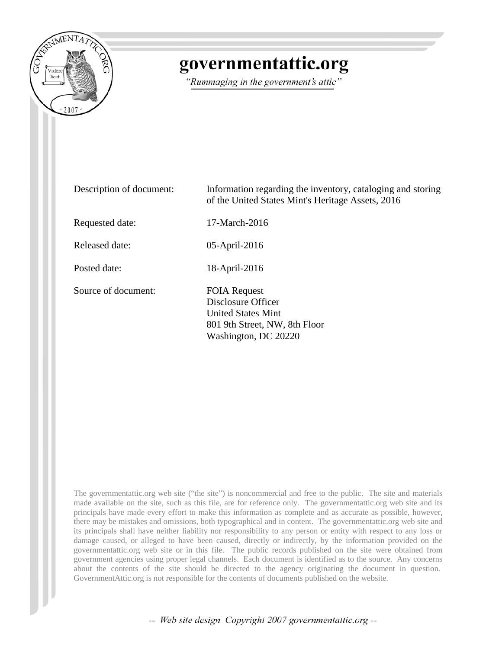

# governmentattic.org

"Rummaging in the government's attic"

| Description of document: | Information regarding the inventory, cataloging and storing<br>of the United States Mint's Heritage Assets, 2016                |
|--------------------------|---------------------------------------------------------------------------------------------------------------------------------|
| Requested date:          | 17-March-2016                                                                                                                   |
| Released date:           | 05-April-2016                                                                                                                   |
| Posted date:             | 18-April-2016                                                                                                                   |
| Source of document:      | <b>FOIA Request</b><br>Disclosure Officer<br><b>United States Mint</b><br>801 9th Street, NW, 8th Floor<br>Washington, DC 20220 |

The governmentattic.org web site ("the site") is noncommercial and free to the public. The site and materials made available on the site, such as this file, are for reference only. The governmentattic.org web site and its principals have made every effort to make this information as complete and as accurate as possible, however, there may be mistakes and omissions, both typographical and in content. The governmentattic.org web site and its principals shall have neither liability nor responsibility to any person or entity with respect to any loss or damage caused, or alleged to have been caused, directly or indirectly, by the information provided on the governmentattic.org web site or in this file. The public records published on the site were obtained from government agencies using proper legal channels. Each document is identified as to the source. Any concerns about the contents of the site should be directed to the agency originating the document in question. GovernmentAttic.org is not responsible for the contents of documents published on the website.

-- Web site design Copyright 2007 governmentattic.org --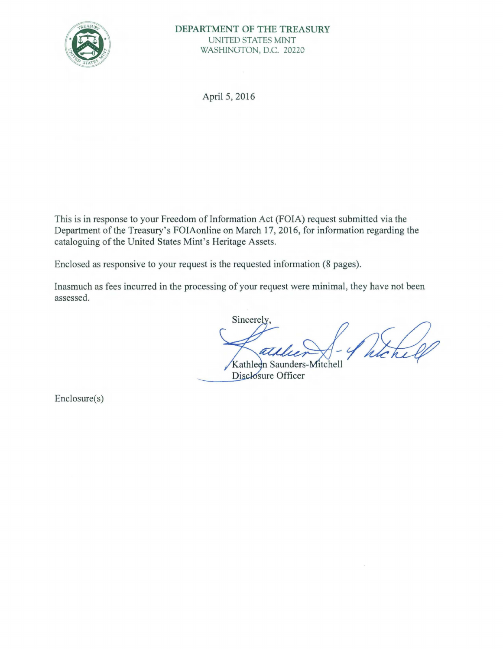

April 5, 2016

This is in response to your Freedom of Information Act (FOIA) request submitted via the Department of the Treasury's FOIAonline on March 17, 2016, for information regarding the cataloguing of the United States Mint's Heritage Assets.

Enclosed as responsive to your request is the requested information (8 pages).

Inasmuch as fees incurred in the processing of your request were minimal, they have not been assessed.

Sincerely.

Kathleen Saunders-Mitchell Disclosure Officer

Enclosure(s)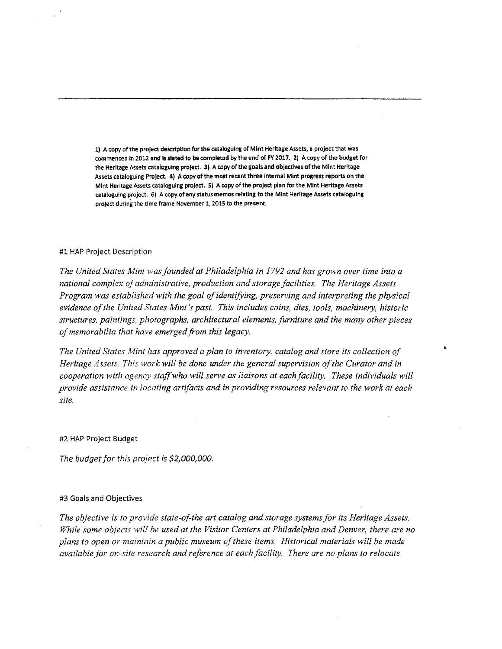1) A copy of the project description for the cataloguing of Mint Heritage Assets, a project that was commenced in 2012 and isslated to be completed by the end of FY 2017. 2) A copy of the budget for the Heritage Assets cataloguing project. 31 A copy of the goals and objectives of the Mint Heritage Assets catalogulng Project. 4) A copy of the most recent three Internal Mint progress reports on the Mint Heritage Assets cataloguing project. 5) A copy of the project plan for the Mint Heritage Assets catalogulrig project. 6) A copy of any status memos relating to the Mint Heritage Assets cataloguing project during the time frame November 1, 2015 to the present.

#### #1 HAP Project Description

*The United States Mint was.founded at Philadelphia in 1792 and has grown over time into a national complex of administrative, production and storage facilities. The Heritage Assets Program was established with the goal of identifying, preserving and interpreting the physical evidence of the United States Mini 's past. This includes coins, dies, tools, machinery, historic structures, paintings, photographs, architectural elements, furniture and the many other pieces of memorabilia that have emerged from this legacy.* 

The United States Mint has approved a plan to inventory, catalog and store its collection of *Heritage Assets. This work will be done under the general supervision of the Curator and in cooperation with agency staff who will serve as liaisons at each facility. These individuals will provide assistance in locating artifacts and in providing resources relevant to the work at each site.* 

#2 HAP Project Budget

*The budget for this project is \$2,000,000.* 

#### #3 Goals and Objectives

*The objective is to provide state-of-the art catalog and storage systems for its Heritage Assets. While some objects will be used at the Visitor Centers at Philadelphia and Denver, there are no plans to open or maintain a public museum of these items. Historical materials will be made available for on-site research and reference at each facility. There are no plans to relocate*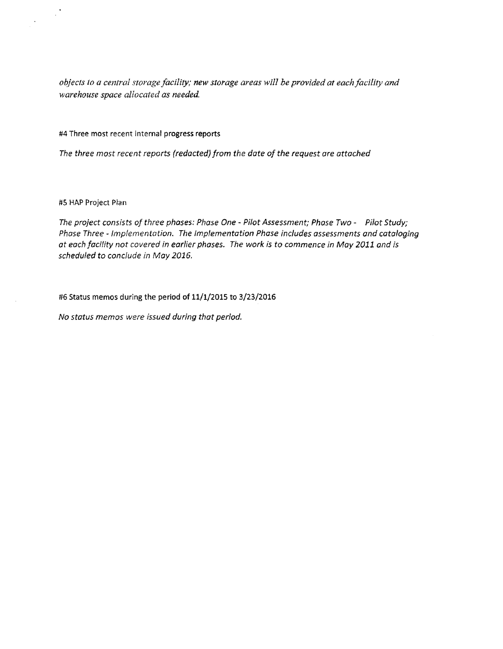objects to a central storage facility; new storage areas will be provided at each facility and *warehouse space allocated as needed* 

#4 Three most recent internal progress reports

*The three most recent reports (redacted) from the date of the request ore attached* 

#5 HAP Project Plan

 $\chi^2$ 

 $\lambda$ 

*The project consists of three phases: Phase One* - *Pilot Assessment; Phase Two* - *Pilot Study; Phase Three* - *Implementation. The Implementation Phase includes assessments and cataloging at each facility not covered in earlier phases. The work is to commence in May 2011 and is scheduled to conclude in May 2016.* 

#6 Status memos during the period of 11/1/2015 to 3/23/2016

*No status memos were issued during that period.*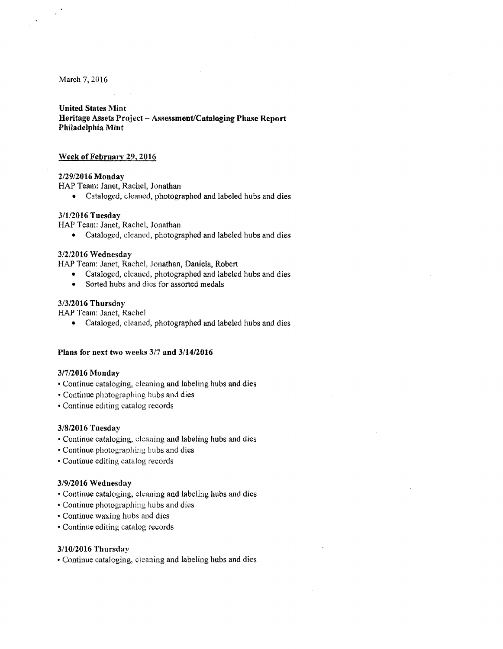March 7, 2016

#### United States Mint

Heritage Assets Project - Assessment/Cataloging Phase Report Philadelphia Mint

#### Week of February 29, 2016

#### 2/29/2016 Monday

HAP Team: Janet, Rachel, Jonathan

• Cataloged, cleaned, photographed and labeled hubs and dies

## 3/1/2016 Tuesday

HAP Team: Janet, Rachel, Jonathan

• Cataloged, cleaned, photographed and labeled hubs and dies

## 3/2/2016 Wednesday

HAP Team: Janet, Rachel, Jonathan, Daniela, Robert

- Cataloged, cleaned, photographed and labeled hubs and dies
- Sorted hubs and dies for assorted medals

## 3/3/2016 Thursday

HAP Team: Janet, Rachel

• Cataloged, cleaned, photographed and labeled hubs and dies

## Plans for next two weeks 3/7 and 3/14/2016

#### 3/7/2016 Monday

- Continue cataloging, cleaning and labeling hubs and dies
- •Continue photographing hubs and dies
- Continue editing catalog records

#### 3/8/2016 Tuesday

- Continue cataloging, cleaning and labeling hubs and dies
- Continue photographing hubs and dies
- Continue editing catalog records

#### 3/9/2016 Wednesday

- Continue cataloging, cleaning and labeling hubs and dies
- Continue photographing hubs and dies
- Continue waxing hubs and dies
- Continue editing catalog records

#### 3/10/2016 Thursday

• Continue cataloging, cleaning and labeling hubs and dies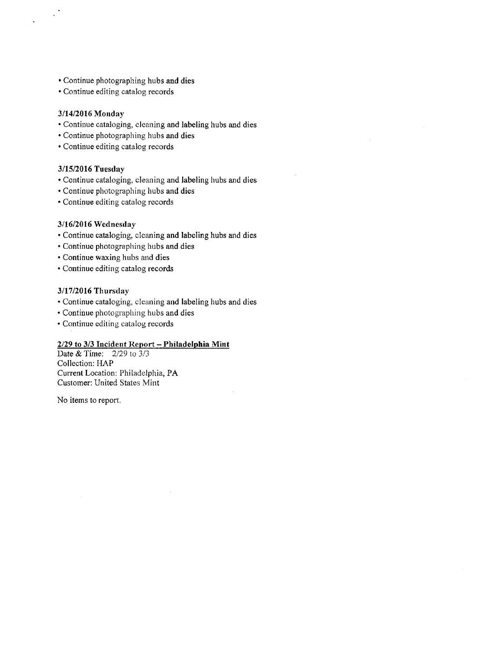- Continue photographing hubs and dies
- •Continue editing catalog records

# 3/14/2016 Monday

 $\mathbb{R}^4$ 

- Continue cataloging, cleaning and labeling hubs and dies
- Continue photographing hubs and dies
- Continue editing catalog records

## 3/15/2016 Tuesday

- Continue cataloging, cleaning and labeling hubs and dies
- Continue photographing hubs and dies
- Continue editing catalog records

## 3/16/2016 Wednesday

- •Continue cataloging, cleaning and labeling hubs and dies
- Continue photographing hubs and dies
- Continue waxing hubs and dies
- Continue editing catalog records

## 3/17/2016 Thursday

- Continue cataloging, cleaning and labeling hubs and dies
- Continue photographing hubs and dies
- Continue editing catalog records

# *2129* to 3/3 Incident Report - Philadelphia Mint

Date & Time: 2/29 to 3/3 Collection: HAP Current Location: Philadelphia, PA Customer: United States Mint

No items to report.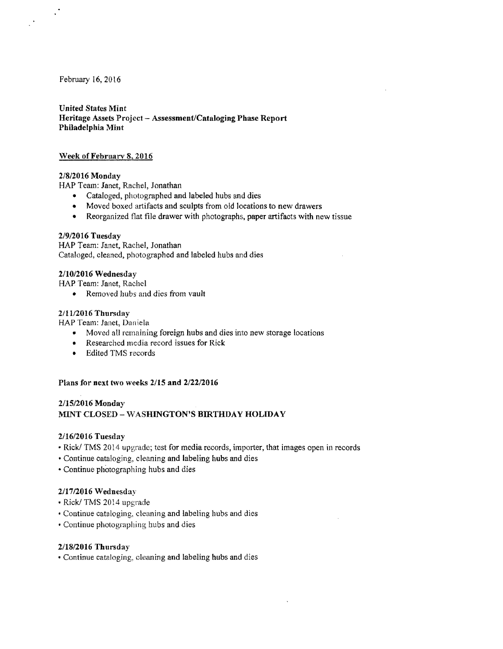February 16, 2016

United States Mint Heritage Assets Project-Assessment/Cataloging Phase Report Philadelphia Mint

## Week of February 8, 2016

## 2/8/2016 Monday

HAP Team: Janet, Rachel, Jonathan

- Cataloged, photographed and labeled hubs and dies
- Moved boxed artifacts and sculpts from old locations to new drawers
- Reorganized flat file drawer with photographs, paper artifacts with new tissue

#### 2/9/2016 Tuesday

HAP Team: Janet, Rachel, Jonathan Cataloged, cleaned, photographed and labeled hubs and dies

## 2/10/2016 Wednesday

HAP Team: Janet, Rachel

• Removed hubs and dies from vault

## 2/11/2016 Thursday

HAP Team: Janet, Daniela

- Moved all remaining foreign hubs and dies into new storage locations
- Researched media record issues for Rick
- Edited TMS records

# Plans for next two weeks 2/15 and 2/22/2016

# 2/15/2016 Monday MINT CLOSED - WASHINGTON'S BIRTHDAY HOLIDAY

#### 2/16/2016 Tuesday

- Rick/ TMS 2014 upgrade; test for media records, importer, that images open in records
- •Continue cataloging, cleaning and labeling hubs and dies
- Continue photographing hubs and dies

## 2/1712016 Wednesday

- •Rick/ TMS 2014 upgrade
- Continue cataloging, cleaning and labeling hubs and dies
- Continue photographing hubs and dies

## 2/18/2016 Thursday

• Continue cataloging, cleaning and labeling hubs and dies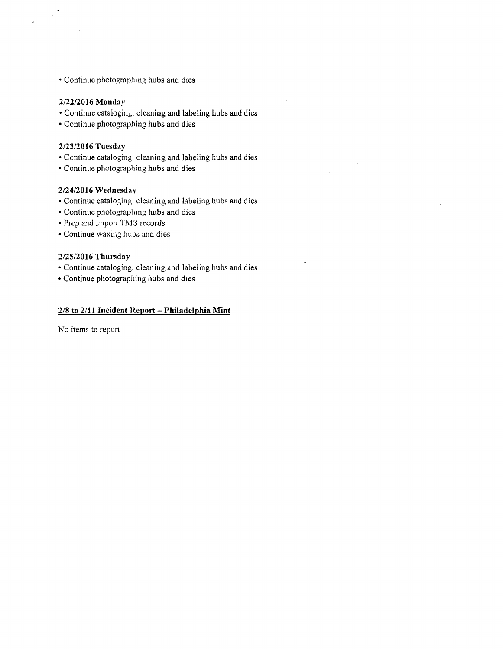• Continue photographing hubs and dies

## 2/22/2016 Monday

 $\ddot{\phantom{a}}$ 

- Continue cataloging, cleaning and labeling hubs and dies
- Continue photographing hubs and dies

# 2/23/2016 Tuesday

- Continue cataloging, deaning and labeling hubs and dies
- Continue photographing hubs and dies

## 2/24/2016 Wednesday

- •Continue cataloging, cleaning and labeling hubs and dies
- Continue photographing hubs and dies
- Prep and import TMS records
- Continue waxing hubs and dies

# 2/25/2016 Thursday

- Continue cataloging, cleaning and labeling hubs and dies
- Continue photographing hubs and dies

# 2/8 to 2/11 Incident Report - Philadelphia Mint

No items to report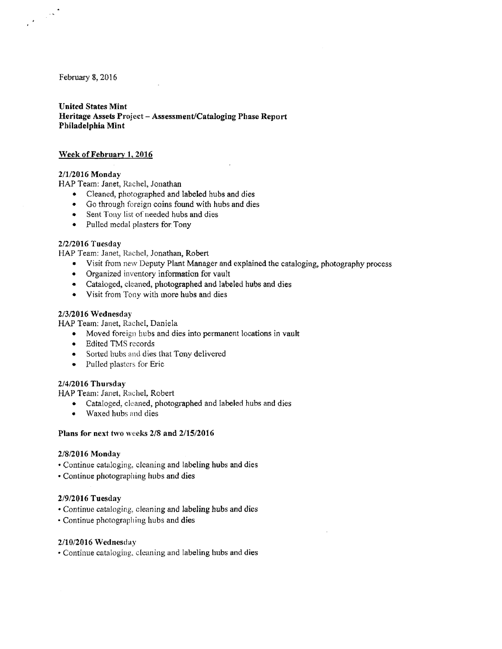February 8, 2016

 $\label{eq:2} \frac{1}{2} \int_{\mathbb{R}^3} \left| \frac{d\mu}{d\mu} \right|^2 \, d\mu$ 

# United States Mint Heritage Assets Project - Assessment/Cataloging Phase Report Philadelphia Mint

# Week of February l. 2016

## 2/1/2016 Monday

HAP Team: Janet, Rachel, Jonathan

- Cleaned, photographed and labeled hubs and dies
- Go through foreign coins found with hubs and dies
- Sent Tony list of needed hubs and dies
- Pulled medal plasters for Tony

# 2/2/2016 Tuesday

HAP Team: Janet, Rachel, Jonathan, Robert

- Visit from new Deputy Plant Manager and explained the cataloging, photography process
- Organized inventory information for vault
- Cataloged, cleaned, photographed and labeled hubs and dies
- Visit from Tony with more hubs and dies

#### 2/3/2016 Wednesday

HAP Team: Janet, Rachel, Daniela

- Moved foreign hubs and dies into permanent locations in vault
- Edited TMS records
- Sorted hubs and dies that Tony delivered
- Pulled plasters for Eric

## 2/4/2016 Thursday

HAP Team: Janet, Rachel, Robert

- Cataloged, cleaned, photographed and labeled hubs and dies
- Waxed hubs and dies

## Plans for next two weeks 2/8 and 2/15/2016

#### 2/8/2016 Monday

- Continue cataloging, cleaning and labeling hubs and dies
- Continue photographing hubs and dies

## 2/9/2016 Tuesday

- •Continue cataloging, cleaning and labeling hubs and dies
- •Continue photographing hubs and dies

#### 2/10/2016 Wednesday

• Continue cataloging, cleaning and labeling hubs and dies